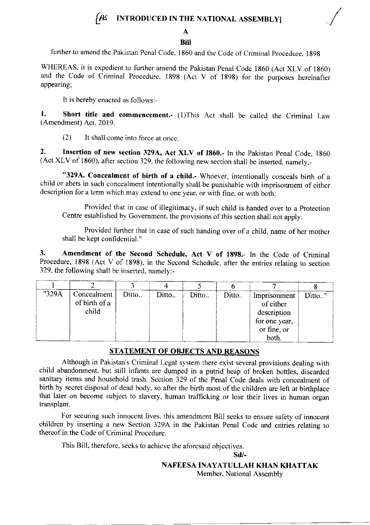### $\left($  As INTRODUCED IN THE NATIONAL ASSEMBLYI

## A

#### **Bill**

further to amend the Pakistan Penal Code, 1860 and the Code of Criminal Procedure, 1898

WHEREAS, it is expedient to further amend the Pakistan Penal Code 1860 (Act XLV of 1860) and the Code of Criminal Procedure. 1898 (Act V of 1898) for the purposes hereinafter appearing;

It is hereby enacted as follows:-

1. Short title and commencement.- (1)This Act shall be called the Criminal Law (Amendment) Act,20l9.

 $(2)$  It shall come into force at once.

2. Insertion of new section 329A, Act XLV of 1860.- In the Pakistan Penal Code, 1860 (Act XLV of 1860), after section 329, the following new section shall be inserted, namely,-

"329A. Concealment of birth of a child.- Whoever, intentionally conceals birth of a child or abets in such concealment intentionally shall be punishable with imprisonment of either description for a term which may extend to one year, or with fine, or with both:

Provided thar in case of illegitimacy, if such child is handed over to a Protection Centre established by Govemment, the provisions of this section shail not apply:

Provided further rhat in case of such handing over of a child, name of her mother shall be kept confidential. "

3. Amendment of the Second Schedule, Act V of 1898.- In rhe Code of Criminal Procedure, 1898 (Act v of 1898), in the Second Schedule, after the entries relating to section 329, the following shall be inserted, namely:-

| "329A | Concealment<br>of birth of a<br>child | Ditto | Ditto | Ditto. | Ditto | Imprisonment<br>of either<br>description<br>for one year,<br>or fine, or<br>both. | Ditto" |
|-------|---------------------------------------|-------|-------|--------|-------|-----------------------------------------------------------------------------------|--------|

#### STATEMENT OF OBJECTS AND REASONS

Although in Pakistan's Criminal Legal system there exist several provisions dealing with child abandonment, but still infants are dumped in a putrid heap of broken bottles, discarded sanitary items and household trash. Section 329 of the Penal Code deals with concealment of birth by secret disposal of dead body, so after the birth most of the children are left at birthplace that later on become subject to slavery, human trafficking or lose their lives in human organ transplant.

For securing such innocent lives. this amendment Bill seeks to ensure safety of innocent children by inserting a new Section 329A in the Pakistan Penal Code and entries relating to thereof in the Code of Criminal Procedure,

This Bill. therefore, seeks to achieve the aforesaid objectives.

sd/-

NAFEESA INAYATULLAH KHAN KHATTAK

Member. National Assembly